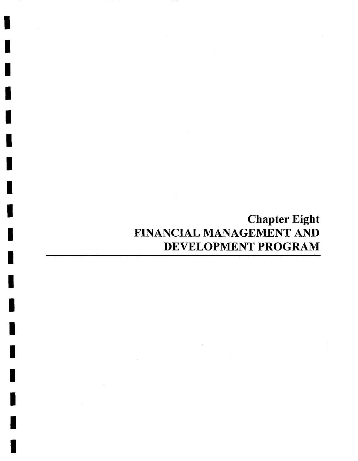# **Chapter Eight**  FINANCIAL MANAGEMENT AND DEVELOPMENT PROGRAM

I

I

I

I

I

I

I

I

I

I

I

I

I

I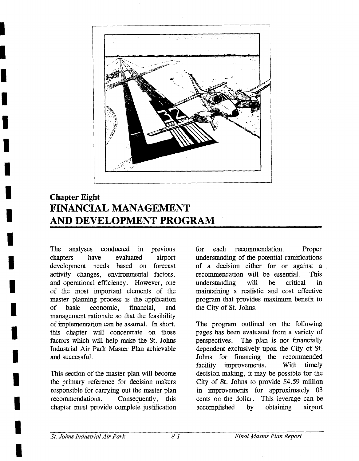

## **Chapter Eight FINANCIAL MANAGEMENT AND DEVELOPMENT PROGRAM**

The analyses conducted in previous chapters have evaluated airport development needs based on forecast activity changes, environmental factors, and operational efficiency. However, one of the most important elements of the master planning process is the application of basic economic, f'mancial, and management rationale so that the feasibility of implementation can be assured. In short, this chapter will concentrate on those factors which will help make the St. Johns Industrial Air Park Master Plan achievable and successful.

This section of the master plan will become the primary reference for decision makers responsible for carrying out the master plan recommendations. Consequently, this chapter must provide complete justification for each recommendation. Proper understanding of the potential ramifications of a decision either for or against a recommendation will be essential. This understanding will be critical in maintaining a realistic and cost effective program that provides maximum benefit to the City of St. Johns.

The program outlined on the following pages has been evaluated from a variety of perspectives. The plan is not financially dependent exclusively upon the City of St. Johns for financing the recommended facility improvements. With timely decision making, it may be possible for the City of St. Johns to provide \$4.59 million in improvements for approximately 03 cents on the dollar. This leverage can be accomplished by obtaining airport

**I** 

**I** 

**I** 

**I** 

**I** 

**I** 

**I** 

**I** 

**I** 

**I** 

**I** 

**I** 

**I** 

**I** 

**I** 

**I** 

**I** 

**I**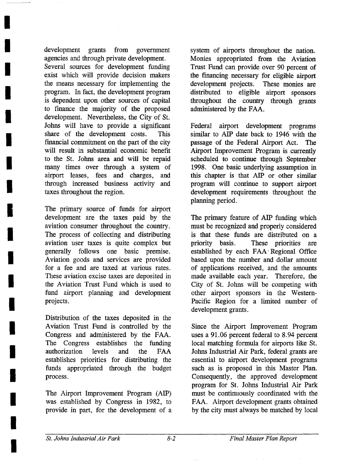development grants from government agencies and through private development. Several sources for development funding exist which will provide decision makers the means necessary for implementing the program. In fact, the development program is dependent upon other sources of capital to finance the majority of the proposed development. Nevertheless, the City of St. Johns will have to provide a significant share of the development costs. This financial commitment on the part of the city will result in substantial economic benefit to the St. Johns area and will be repaid many times over through a system of airport leases, fees and charges, and through increased business activity and taxes throughout the region.

**I** 

**I** 

**I** 

**I** 

**I** 

**I** 

**I** 

**I** 

**I** 

**I** 

**I** 

**I** 

**I** 

**I** 

**I** 

**I** 

**I** 

**I** 

**I** 

The primary source of funds for airport development are the taxes paid by the aviation consumer throughout the country. The process of collecting and distributing aviation user taxes is quite complex but generally follows one basic premise. Aviation goods and services are provided for a fee and are taxed at various rates. These aviation excise taxes are deposited in the Aviation Trust Fund which is used to fund airport planning and development projects.

Distribution of the taxes deposited in the Aviation Trust Fund is controlled by the Congress and administered by the FAA. The Congress establishes the funding authorization levels and the FAA establishes priorities for distributing the funds appropriated through the budget process.

The Airport Improvement Program (AIP) was established by Congress in 1982, to provide in part, for the development of a system of airports throughout the nation. Monies appropriated from the Aviation Trust Fund can provide over 90 percent of the financing necessary for eligible airport development projects. These monies are distributed to eligible airport sponsors throughout the country through grants administered by the FAA.

Federal airport development programs similar to AIP date back to 1946 with the passage of the Federal Airport Act. The Airport Improvement Program is currently scheduled to continue through September 1998. One basic underlying assumption in this chapter is that AIP or other similar program will continue to support airport development requirements throughout the planning period.

The primary feature of AIP funding which must be recognized and properly considered is that these funds are distributed on a priority basis. These priorities are established by each FAA' Regional Office based upon the number and dollar amount of applications received, and the amounts made available each year. Therefore, the City of St. Johns will be competing with other airport sponsors in the Western-Pacific Region for a limited number of development grants.

Since the Airport Improvement Program uses a 91.06 percent federal to 8.94 percent local matching formula for airports like St. Johns Industrial Air Park, federal grants are essential to airport development programs such as is proposed in this Master Plan. Consequently, the approved development program for St. Johns Industrial Air Park must be continuously coordinated with the FAA. Airport development grants obtained by the city must always be matched by local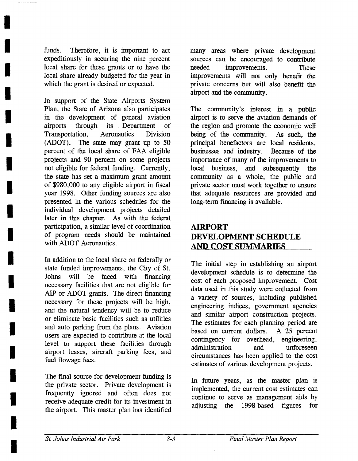funds. Therefore, it is important to act expeditiously in securing the nine percent local share for these grants or to have the local share already budgeted for the year in which the grant is desired or expected.

**I** 

**I** 

**I** 

**i** 

**I** 

**I** 

**I** 

**I** 

**I** 

**i** 

**I** 

**I** 

**I** 

**I** 

**I** 

**I** 

**I** 

**I** 

**I** 

In support of the State Airports System Plan, the State of Arizona also participates in the development of general aviation airports through its Department of Transportation, Aeronautics Division (ADOT). The state may grant up to 50 percent of the local share of FAA eligible projects and 90 percent on some projects not eligible for federal funding. Currently, the state has set a maximum grant amount of \$980,000 to any eligible airport in fiscal year 1998. Other funding sources are also presented in the various schedules for the individual development projects detailed later in this chapter. As with the federal participation, a similar level of coordination of program needs should be maintained with ADOT Aeronautics.

In addition to the local share on federally or state funded improvements, the City of St. Johns will be faced with financing necessary facilities that are not eligible for AIP or ADOT grants. The direct financing necessary for these projects will be high, and the natural tendency will be to reduce or eliminate basic facilities such as utilities and auto parking from the plans. Aviation users are expected to contribute at the local level to support these facilities through airport leases, aircraft parking fees, and fuel flowage fees.

The final source for development funding is the private sector. Private development is frequently ignored and often does not receive adequate credit for its investment in the airport. This master plan has identified many areas where private development sources can be encouraged to contribute needed improvements. These improvements will not only benefit the private concerns but will also benefit the airport and the community.

The community's interest in a public airport is to serve the aviation demands of the region and promote the economic well being of the community. As such, the principal benefactors are local residents, businesses and industry. Because of the importance of many of the improvements to local business, and subsequently the community as a whole, the public and private sector must work together to ensure that adequate resources are provided and long-term financing is available.

### AIRPORT DEVELOPMENT SCHEDULE AND COST SUMMARIES

The initial step in establishing an airport development schedule is to determine the cost of each proposed improvement. Cost data used in this study were collected from a variety of sources, including published engineering indices, government agencies and similar airport construction projects. The estimates for each planning period are based on current dollars. A 25 percent contingency for overhead, engineering, administration and unforeseen circumstances has been applied to the cost estimates of various development projects.

In future years, as the master plan is implemented, the current cost estimates can continue to serve as management aids by adjusting the 1998-based figures for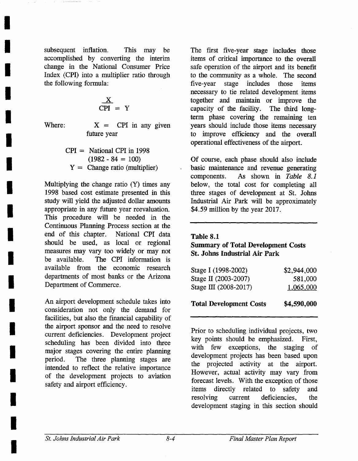subsequent inflation. This may be accomplished by converting the interim change in the National Consumer Price Index (CPI) into a multiplier ratio through the following formula:

$$
\frac{X}{CPI} = Y
$$

**I** 

**I** 

**I** 

**I** 

**I** 

**I** 

**I** 

**I** 

**I** 

**I** 

**I** 

**I** 

**I** 

**I** 

**I** 

**I** 

**I** 

**I** 

*I* 

Where:  $X = \text{CPI}$  in any given future year

$$
CPI = National CPI in 1998
$$
  
(1982 - 84 = 100)  

$$
Y = Change ratio (multiplier)
$$

Multiplying the change ratio (Y) times any 1998 based cost estimate presented in this study will yield the adjusted dollar amounts appropriate in any future year reevaluation. This procedure will be needed in the Continuous Planning Process section at the end of this chapter. National CPI data should be used, as local or regional measures may vary too widely or may not be available. The CPI information is available from the economic research departments of most banks or the Arizona Department of Commerce.

An airport development schedule takes into consideration not only the demand for facilities, but also the financial capability of the airport sponsor and the need to resolve current deficiencies. Development project scheduling has been divided into three major stages covering the entire planning period. The three planning stages are intended to reflect the relative importance of the development projects to aviation safety and airport efficiency.

The first five-year stage includes those items of critical importance to the overall safe operation of the airport and its benefit to the community as a whole. The second five-year stage includes those items necessary to tie related development items together and maintain or improve the capacity of the facility. The third longterm phase covering the remaining ten years should include those items necessary to improve efficiency and the overall operational effectiveness of the airport.

Of course, each phase should also include basic maintenance and revenue generating components. As shown in *Table 8.1*  below, the total cost for completing all three stages of development at St. Johns Industrial Air Park will be approximately \$4.59 million by the year 2017.

#### **Table 8.1**

### **Summary of Total Development Costs St. Johns Industrial Air Park**

| Stage I (1998-2002)<br>Stage II (2003-2007) | \$2,944,000<br>581,000 |
|---------------------------------------------|------------------------|
| Stage III (2008-2017)                       | 1,065,000              |
| <b>Total Development Costs</b>              | \$4,590,000            |

Prior to scheduling individual projects, two key points should be emphasized. First, with few exceptions, the staging of development projects has been based upon the projected activity at the airport. However, actual activity may vary from forecast levels. With the exception of those items directly related to safety and resolving current deficiencies, the development staging in this section should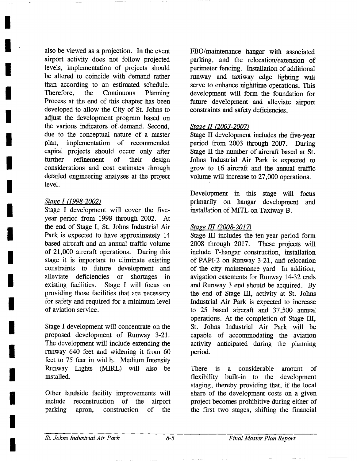also be viewed as a projection. In the event airport activity does not follow projected levels, implementation of projects should be altered to coincide with demand rather than according to an estimated schedule. Therefore, the Continuous Planning Process at the end of this chapter has been developed to allow the City of St. Johns to adjust the development program based on the various indicators of demand. Second, due to the conceptual nature of a master plan, implementation of recommended capital projects should occur only after further refinement of their design considerations and cost estimates through detailed engineering analyses at the project level.

### *Stage I (1998-2002)*

**I** 

**I** 

**I** 

**I** 

**I** 

**I** 

**I** 

**I** 

**I** 

**I** 

**I** 

**I** 

**I** 

**I** 

**I** 

**I** 

**I** 

**I** 

**I** 

Stage I development will cover the fiveyear period from 1998 through 2002. At the end of Stage I, St. Johns Industrial Air Park is expected to have approximately 14 based aircraft and an annual traffic volume of 21,000 aircraft operations. During this stage it is important to eliminate existing constraints to future development and alleviate deficiencies or shortages in existing facilities. Stage I will focus on providing those facilities that are necessary for safety and required for a minimum level of aviation service.

Stage I development will concentrate on the proposed development of Runway 3-21. The development will include extending the runway 640 feet and widening it from 60 feet to 75 feet in width. Medium Intensity Runway Lights (MIRL) will also be installed.

Other landside facility improvements will include reconstruction of the airport parking apron, construction of the

FBO/maintenance hangar with associated parking, and the relocation/extension of perimeter fencing. Installation of additional runway and taxiway edge lighting will serve to enhance nighttime operations. This development will form the foundation for future development and alleviate airport constraints and safety deficiencies.

### *Stage II (2003-2007)*

Stage II development includes the five-year period from 2003 through 2007. During Stage II the number of aircraft based at St. Johns Industrial Air Park is expected to grow to 16 aircraft and the annual traffic volume will increase to 27,000 operations.

Development in this stage will focus primarily on hangar development and installation of MITL on Taxiway B.

### *Stage III (2008-2017)*

Stage III includes the ten-year period form 2008 through 2017. These projects will include T-hangar construction, installation of PAPI-2 on Runway 3-21, and relocation of the city maintenance yard In addition, avigation easements for Runway 14-32 ends and Runway 3 end should be acquired. By the end of Stage III, activity at St. Johns Industrial Air Park is expected to increase to 25 based aircraft and 37,500 annual operations. At the completion of Stage III, St. Johns Industrial Air Park will be capable of accommodating the aviation activity anticipated during the planning period.

There is a considerable amount of flexibility built-in to the development staging, thereby providing that, if the local share of the development costs on a given project becomes prohibitive during either of the first two stages, shifting the financial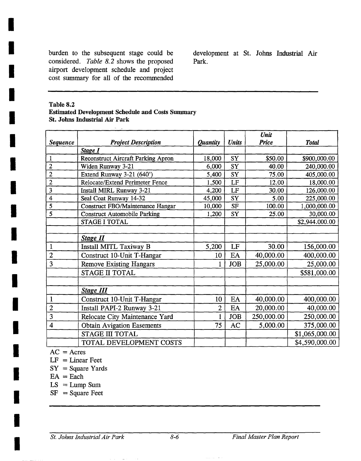burden to the subsequent stage could be considered. *Table 8.2* shows the proposed airport development schedule and project cost summary for all of the recommended

development at St. Johns Industrial Air Park.

#### **Table 8.2**

**I** 

**I** 

**I** 

**I** 

**I** 

**I** 

**I** 

**I** 

**I** 

**I** 

**I** 

**I** 

**I** 

**I** 

**I** 

**I** 

**I** 

*I* 

*I* 

**Estimated Development Schedule and Costs Summary St. Johns Industrial Air Park** 

|                         |                                           |                        |              | Unit       |                |
|-------------------------|-------------------------------------------|------------------------|--------------|------------|----------------|
| <b>Sequence</b>         | <b>Project Description</b>                | <i><b>Quantity</b></i> | <b>Units</b> | Price      | <b>Total</b>   |
|                         | Stage I                                   |                        |              |            |                |
| 1                       | <b>Reconstruct Aircraft Parking Apron</b> | 18,000                 | <b>SY</b>    | \$50.00    | \$900,000.00   |
| $\overline{c}$          | Widen Runway 3-21                         | 6,000                  | <b>SY</b>    | 40.00      | 240,000.00     |
| $\overline{2}$          | Extend Runway 3-21 (640')                 | 5,400                  | SY           | 75.00      | 405,000.00     |
| $\overline{2}$          | Relocate/Extend Perimeter Fence           | 1,500                  | LF           | 12.00      | 18,000.00      |
| 3                       | <b>Install MIRL Runway 3-21</b>           | 4,200                  | LF           | 30.00      | 126,000.00     |
| 4                       | Seal Coat Runway 14-32                    | 45,000                 | <b>SY</b>    | 5.00       | 225,000.00     |
| 5                       | Construct FBO/Maintenance Hangar          | 10,000                 | <b>SF</b>    | 100.00     | 1,000,000.00   |
| 5                       | <b>Construct Automobile Parking</b>       | 1,200                  | SY           | 25.00      | 30,000.00      |
|                         | STAGE I TOTAL                             |                        |              |            | \$2,944.000.00 |
|                         |                                           |                        |              |            |                |
|                         | <b>Stage II</b>                           |                        |              |            |                |
| 1                       | Install MITL Taxiway B                    | 5,200                  | LF           | 30.00      | 156,000.00     |
| $\overline{2}$          | Construct 10-Unit T-Hangar                | 10                     | EA           | 40,000.00  | 400,000.00     |
| 3                       | <b>Remove Existing Hangars</b>            | 1                      | <b>JOB</b>   | 25,000.00  | 25,000.00      |
|                         | STAGE II TOTAL                            |                        |              |            | \$581,000.00   |
|                         |                                           |                        |              |            |                |
|                         | <b>Stage III</b>                          |                        |              |            |                |
| $\mathbf{1}$            | Construct 10-Unit T-Hangar                | 10                     | EA           | 40,000.00  | 400,000.00     |
| $\overline{2}$          | Install PAPI-2 Runway 3-21                | $\overline{2}$         | EA           | 20,000.00  | 40,000.00      |
| 3                       | Relocate City Maintenance Yard            | 1                      | <b>JOB</b>   | 250,000.00 | 250,000.00     |
| $\overline{\mathbf{4}}$ | <b>Obtain Avigation Easements</b>         | 75                     | AC           | 5,000.00   | 375,000.00     |
|                         | STAGE III TOTAL                           |                        |              |            | \$1,065,000.00 |
|                         | TOTAL DEVELOPMENT COSTS                   |                        |              |            | \$4,590,000.00 |

 $AC = A<sub>c</sub>$ 

 $LF = Linear$  Feet

 $SY = Square Yards$ 

 $EA = Each$ 

 $LS = Lump Sum$ 

 $SF = Square$  Feet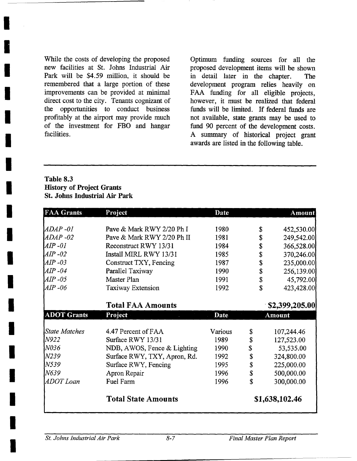While the costs of developing the proposed new facilities at St. Johns Industrial Air Park will be \$4.59 million, it should be remembered that a large portion of these improvements can be provided at minimal direct cost to the city. Tenants cognizant of the opportunities to conduct business profitably at the airport may provide much of the investment for FBO and hangar facilities.

Optimum funding sources for all the proposed development items will be shown in detail later in the chapter. **The**  development program relies heavily on FAA funding for all eligible projects, however, it must be realized that federal funds will be limited. If federal funds are not available, state grants may be used to fund 90 percent of the development costs. A summary of historical project grant awards are listed in the following table.

### **Table 8.3 History of Project Grants St. Johns Industrial Air Park**

**I** 

**I** 

**I** 

**I** 

**I** 

**I** 

**I** 

**I** 

**!** 

**i** 

**1** 

*I* 

| <b>FAA Grants</b>    | Project                      | Date        |                  | <b>Amount</b> |  |  |
|----------------------|------------------------------|-------------|------------------|---------------|--|--|
|                      |                              |             |                  |               |  |  |
| ladap -01            | Pave & Mark RWY 2/20 Ph I    | 1980        | \$               | 452,530.00    |  |  |
| $ADAP - 02$          | Pave & Mark RWY 2/20 Ph II   | 1981        | \$<br>249,542.00 |               |  |  |
| $AIP-0I$             | Reconstruct RWY 13/31        | 1984        | \$<br>366,528.00 |               |  |  |
| $AIP -02$            | Install MIRL RWY 13/31       | 1985        | \$               | 370,246.00    |  |  |
| $AIP - 03$           | Construct TXY, Fencing       | 1987        | \$<br>235,000.00 |               |  |  |
| $AIP -04$            | Parallel Taxiway             | 1990        | \$               | 256,139.00    |  |  |
| $AIP -05$            | Master Plan                  | 1991        | \$               | 45,792.00     |  |  |
| AIP -06              | Taxiway Extension            | 1992        | \$<br>423,428.00 |               |  |  |
|                      | <b>Total FAA Amounts</b>     |             | \$2,399,205.00   |               |  |  |
| <b>ADOT Grants</b>   | Project                      | <b>Date</b> |                  | Amount        |  |  |
| <b>State Matches</b> | 4.47 Percent of FAA          | Various     | \$               | 107,244.46    |  |  |
| <b>N922</b>          | Surface RWY 13/31            | 1989        | \$               | 127,523.00    |  |  |
| N036                 | NDB, AWOS, Fence & Lighting  | 1990        | \$               | 53,535.00     |  |  |
| <b>N239</b>          | Surface RWY, TXY, Apron, Rd. | 1992        | \$               | 324,800.00    |  |  |
| W539                 | Surface RWY, Fencing         | 1995        | \$               | 225,000.00    |  |  |
| N639                 | Apron Repair                 | 1996        | \$               | 500,000.00    |  |  |
| ADOT Loan            | Fuel Farm                    | 1996        | \$<br>300,000.00 |               |  |  |
|                      | <b>Total State Amounts</b>   |             | \$1,638,102.46   |               |  |  |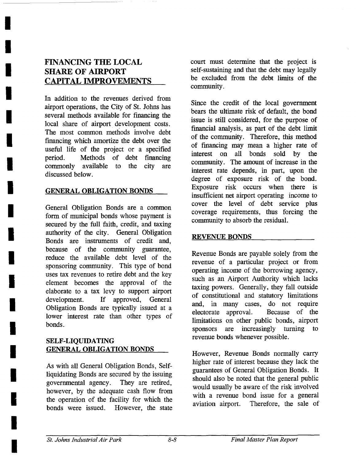### FINANCING THE LOCAL SHARE OF AIRPORT CAPITAL IMPROVEMENTS

**I** 

**I** 

**I** 

**I** 

**I** 

**I** 

**I** 

**I** 

**I** 

**I** 

**I** 

**I** 

**I** 

**I** 

**I** 

**I** 

**I** 

**I** 

**I** 

In addition to the revenues derived from airport operations, the City of St. Johns has several methods available for financing the local share of airport development costs. The most common methods involve debt financing which amortize the debt over the useful life of the project or a specified period. Methods of debt financing commonly available to the city are discussed below.

### GENERAL OBLIGATION BONDS

General Obligation Bonds are a common form of municipal bonds whose payment is secured by the full faith, credit, and taxing authority of the city. General Obligation Bonds are instruments of credit and, because of the community guarantee, reduce the available debt level of the sponsoring community. This type of bond uses tax revenues to retire debt and the key element becomes the approval of the elaborate to a tax levy to support airport development. If approved, General Obligation Bonds are typically issued at a lower interest rate than other types of bonds.

### SELF-LIQUIDATING GENERAL OBLIGATION BONDS

As with all General Obligation Bonds, Selfliquidating Bonds are secured by the issuing governmental agency. They are retired, however, by the adequate cash flow from the operation of the facility for which the bonds were issued. However, the state

court must determine that the project is self-sustaining and that the debt may legally be excluded from the debt limits of the community.

Since the credit of the local government bears the ultimate risk of default, the bond issue is still considered, for the purpose of financial analysis, as part of the debt limit of the community. Therefore, this method of financing may mean a higher rate of interest on all bonds sold by the community. The amount of increase in the interest rate depends, in part, upon the degree of exposure risk of the bond. Exposure risk occurs when there is insufficient net airport operating income to cover the level of debt service plus coverage requirements, thus forcing the community to absorb the residual.

### REVENUE BONDS

Revenue Bonds are payable solely from the revenue of a particular project or from operating income of the borrowing agency, such as an Airport Authority which lacks taxing powers. Generally, they fall outside of constitutional and statutory limitations and, in many cases, do not require electorate approval. Because of the limitations on other public bonds, airport sponsors are increasingly turning to revenue bonds whenever possible.

However, Revenue Bonds normally carry higher rate of interest because they lack the guarantees of General Obligation Bonds. It should also be noted that the general public would usually be aware of the risk involved with a revenue bond issue for a general aviation airport. Therefore, the sale of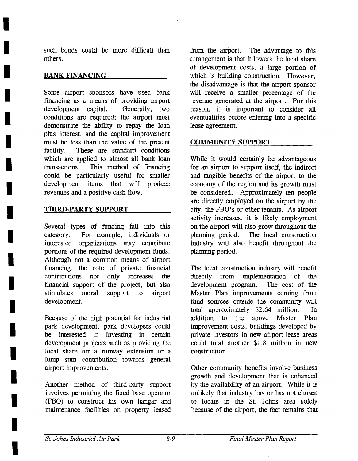such bonds could be more difficult than others.

### BANK FINANCING

**I** 

**I** 

**I** 

**I** 

**I** 

**I** 

**I** 

**I** 

**I** 

**I** 

**I** 

**I** 

**I** 

**I** 

**I** 

**I** 

**I** 

**I** 

**I** 

Some airport sponsors have used bank financing as a means of providing airport development capital. Generally, two conditions are required; the airport must demonstrate the ability to repay the loan plus interest, and the capital improvement must be less than the value of the present facility. These are standard conditions which are applied to almost all bank loan transactions. This method of financing could be particularly useful for smaller development items that will produce revenues and a positive cash flow.

### THIRD-PARTY SUPPORT

Several types of funding fall into this category. For example, individuals or interested organizations may contribute portions of the required development funds. Although not a common means of airport financing, the role of private financial contributions not only increases the financial support of the project, but also stimulates moral support to airport development.

Because of the high potential for industrial park development, park developers could be interested in investing in certain development projects such as providing the local share for a runway extension or a lump sum contribution towards general airport improvements.

Another method of third-party support involves permitting the fixed base operator (FBO) to construct his own hangar and maintenance facilities on property leased from the airport. The advantage to this arrangement is that it lowers the local share of development costs, a large portion of which is building construction. However, the disadvantage is that the airport sponsor will receive a smaller percentage of the revenue generated at the airport. For this reason, it is important to consider all eventualities before entering into a specific lease agreement.

### COMMUNITY SUPPORT

While it would certainly be advantageous for an airport to support itself, the indirect and tangible benefits of the airport to the economy of the region and its growth must be considered. Approximately ten people are directly employed on the airport by the city, the FBO's or other tenants. As airport activity increases, it is likely employment on the airport will also grow throughout the planning period. The local construction industry will also benefit throughout the planning period.

The local construction industry will benefit directly from implementation of the development program. The cost of the Master Plan improvements coming from fund sources outside the community will total approximately \$2.64 million. In addition to the above Master Plan improvement costs, buildings developed by private investors in new airport lease areas could total another \$1.8 million in new construction.

Other community benefits involve business growth and development that is enhanced by the availability of an airport. While it is unlikely that industry has or has not chosen to locate in the St. Johns area solely because of the airport, the fact remains that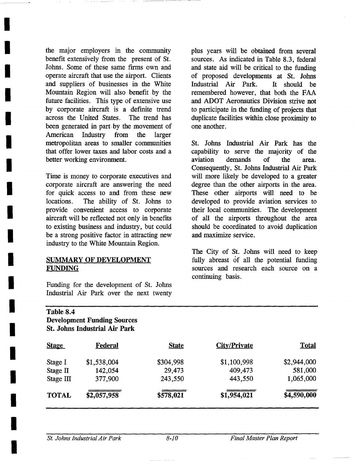the major employers in the community benefit extensively from the present of St. Johns. Some of these same firms own and operate aircraft that use the airport. Clients and suppliers of businesses in the White Mountain Region will also benefit by the future facilities. This type of extensive use by corporate aircraft is a definite trend across the United States. The trend has been generated in part by the movement of American Industry from the larger metropolitan areas to smaller communities that offer lower taxes and labor costs and a better working environment.

**I** 

**I** 

**I** 

**I** 

**I** 

**I** 

**I** 

**I** 

**I** 

**I** 

**I** 

**I** 

**I** 

**i** 

*i* 

**Table 8.4** 

Time is money to corporate executives and corporate aircraft are answering the need for quick access to and from these new locations. The ability of St. Johns to provide convenient access to corporate aircraft will be reflected not only in benefits to existing business and industry, but could be a strong positive factor in attracting new industry to the White Mountain Region.

#### SUMMARY OF DEVELOPMENT FUNDING

**Development Funding Sources** 

Funding for the development of St. Johns Industrial Air Park over the next twenty plus years will be obtained from several sources. As indicated in Table 8.3, federal and state aid will be critical to the funding of proposed developments at St. Johns Industrial Air Park. It should be remembered however, that both the FAA and ADOT Aeronautics Division strive not to participate in the funding of projects that duplicate facilities within close proximity to one another.

St. Johns Industrial Air Park has the capability to serve the majority of the aviation demands of the area. Consequently, St. Johns Industrial Air Park will more likely be developed to a greater degree than the other airports in the area. These other airports will need to be developed to provide aviation services to their local communities. The development of all the airports throughout the area should be coordinated to avoid duplication and maximize service.

The City of St. Johns will need to keep fully abreast of all the potential funding sources and research each source on a continuing basis.

| <b>Stage</b> | <b>Federal</b> | <b>State</b> | <b>City/Private</b> | <b>Total</b> |
|--------------|----------------|--------------|---------------------|--------------|
| Stage I      | \$1,538,004    | \$304,998    | \$1,100,998         | \$2,944,000  |
| Stage $\Pi$  | 142,054        | 29,473       | 409,473             | 581,000      |
| Stage III    | 377,900        | 243,550      | 443,550             | 1,065,000    |
| <b>TOTAL</b> | \$2,057,958    | \$578,021    | \$1,954,021         | \$4,590,000  |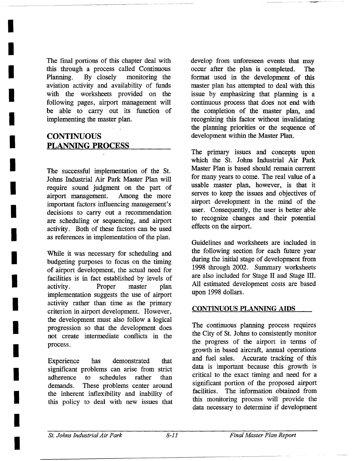The final portions of this chapter deal with this through a process called Continuous Planning. By closely monitoring the aviation activity and availability of funds with the worksheets provided on the following pages, airport management will be able to carry out its function of implementing the master plan.

### **CONTINUOUS PLANNING PROCESS**

**I** 

**I** 

**I** 

**I** 

**I** 

**I** 

**I** 

**I** 

**I** 

**I** 

**I** 

**I** 

**I** 

**I** 

**I** 

**I** 

**I** 

**I** 

**I** 

The successful implementation of the St. Johns Industrial Air Park Master Plan will require sound judgment on the part of airport management. Among the more important factors influencing management's decisions to carry out a recommendation are scheduling or sequencing, and airport activity. Both of these factors can be used as references in implementation of the plan.

While it was necessary for scheduling and budgeting purposes to focus on the timing of airport development, the actual need for facilities is in fact established by levels of activity. Proper master plan implementation suggests the use of airport activity rather than time as the primary criterion in airport development. However, the development must also follow a logical progression so that the development does not create intermediate conflicts in the process.

Experience has demonstrated that significant problems can arise from strict adherence to schedules rather than demands. These problems center around the inherent inflexibility and inability of this policy to deal with new issues that develop from unforeseen events that may occur after the plan is completed. The format used in the development of this master plan has attempted to deal with this issue by emphasizing that planning is a continuous process that does not end with the completion of the master plan, and recognizing this factor without invalidating the planning priorities or the sequence of development within the Master Plan.

The primary issues and concepts upon which the St. Johns Industrial Air Park Master Plan is based should remain current for many years to come. The real value of a usable master plan, however, is that it serves to keep the issues and objectives of airport development in the mind of the user. Consequently, the user is better able to recognize changes and their potential effects on the airport.

Guidelines and worksheets are included in the following section for each future year during the initial stage of development from 1998 through 2002. Summary worksheets are also included for Stage II and Stage III. All estimated development costs are based upon 1998 dollars.

### CONTINUOUS PLANNING AIDS

The continuous planning process requires the City of St. Johns to consistently monitor the progress of the airport in terms of growth in based aircraft, annual operations and fuel sales. Accurate tracking of this data is important because this growth is critical to the exact timing and need for a significant portion of the proposed airport facilities. The information obtained from this monitoring process will provide the data necessary to determine if development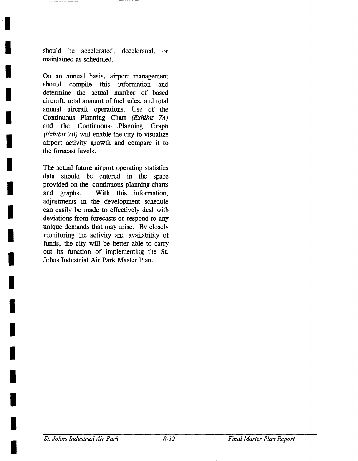should be accelerated, decelerated, or maintained as scheduled.

**I** 

**I** 

**I** 

**I** 

**I** 

**I** 

**I** 

**I** 

**I** 

**I** 

**I** 

**I** 

**I** 

**I** 

**I** 

**I** 

**I** 

**I** 

*I* 

On an annual basis, airport management should compile this information and determine the actual number of based aircraft, total amount of fuel sales, and total annual aircraft operations. Use of the Continuous Planning Chart *(Exhibit 7A)*  and the Continuous .Planning Graph *(Exhibit 7B)* will enable the city to visualize airport activity growth and compare it to the forecast levels.

The actual future airport operating statistics data should be entered in the space provided on the continuous planning charts and graphs. With this information, adjustments in the development schedule can easily be made to effectively deal with deviations from forecasts or respond to any unique demands that may arise. By closely monitoring the activity and availability of funds, the city will be better able to carry out its function of implementing the St. Johns Industrial Air Park Master Plan.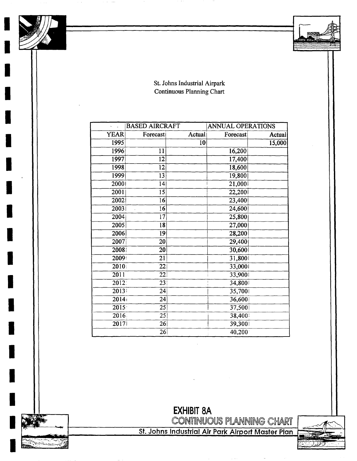St. Johns Industrial Airpark Continuous Planning Chart

|                   | <b>BASED AIRCRAFT</b> |        | <b>ANNUAL OPERATIONS</b> |        |
|-------------------|-----------------------|--------|--------------------------|--------|
| <b>YEAR</b>       | Forecast              | Actual | Forecast                 | Actual |
| 1995              |                       | 10     |                          | 15,000 |
| 1996              | 11                    |        | 16,200                   |        |
| 1997              | $\overline{12}$       |        | 17,400                   |        |
| 1998              | $\overline{12}$       |        | 18,600                   |        |
| 1999              | $\overline{13}$       |        | 19,800                   |        |
| 2000              | 14                    |        | $\overline{21,000}$      |        |
| 2001              | 15                    |        | 22,200                   |        |
| 2002              | 16                    |        | 23,400                   |        |
| 2003              | $\overline{16}$       |        | 24,600                   |        |
| 2004              | 17                    |        | 25,800                   |        |
| $\overline{2005}$ | $\overline{18}$       |        | 27,000                   |        |
| 2006              | 19                    |        | 28,200                   |        |
| 2007              | 20                    |        | 29,400                   |        |
| 2008              | $\overline{20}$       |        | 30,600                   |        |
| 2009              | 21                    |        | 31,800                   |        |
| 2010              | 22 <sub>1</sub>       |        | 33,000                   |        |
| $\overline{2011}$ | $\overline{2}2$       |        | 33,900                   |        |
| 2012              | $\overline{23}$       |        | 34,800                   |        |
| 2013              | 24                    |        | 35,700                   |        |
| 2014i             | 24                    |        | 36,600                   |        |
| $\overline{2015}$ | 25                    |        | 37,500                   |        |
| 2016:             | 25                    |        | 38,400                   |        |
| 20171             | 26 <sub>l</sub>       |        | 39,300                   |        |
|                   | 26 <sup>2</sup>       |        | 40,200                   |        |

**I** 

۷

Ш

**I** 

**I** 

**I** 

**I** 

**I** 

**I** 

**I** 

**I** 

**I** 

**I** 

**I** 

**EXHIBIT 8A** 

St. Johns Industrial Air Park Airport Master Plan